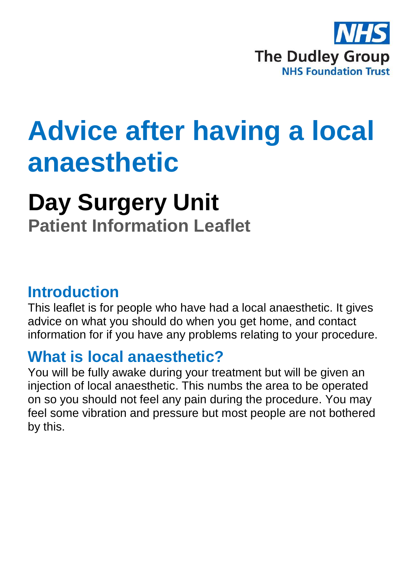

# **Advice after having a local anaesthetic**

## **Day Surgery Unit**

**Patient Information Leaflet**

#### **Introduction**

This leaflet is for people who have had a local anaesthetic. It gives advice on what you should do when you get home, and contact information for if you have any problems relating to your procedure.

## **What is local anaesthetic?**

You will be fully awake during your treatment but will be given an injection of local anaesthetic. This numbs the area to be operated on so you should not feel any pain during the procedure. You may feel some vibration and pressure but most people are not bothered by this.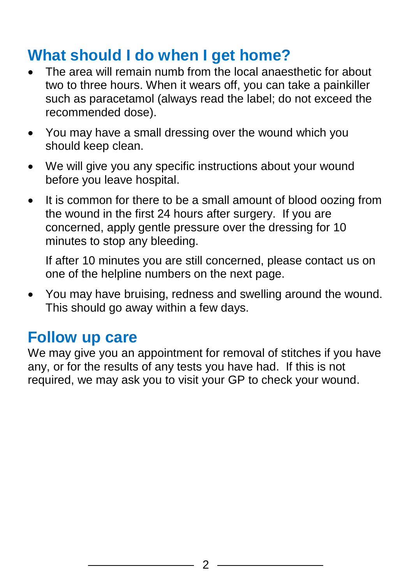## **What should I do when I get home?**

- The area will remain numb from the local anaesthetic for about two to three hours. When it wears off, you can take a painkiller such as paracetamol (always read the label; do not exceed the recommended dose).
- You may have a small dressing over the wound which you should keep clean.
- We will give you any specific instructions about your wound before you leave hospital.
- It is common for there to be a small amount of blood oozing from the wound in the first 24 hours after surgery. If you are concerned, apply gentle pressure over the dressing for 10 minutes to stop any bleeding.

If after 10 minutes you are still concerned, please contact us on one of the helpline numbers on the next page.

 You may have bruising, redness and swelling around the wound. This should go away within a few days.

#### **Follow up care**

We may give you an appointment for removal of stitches if you have any, or for the results of any tests you have had. If this is not required, we may ask you to visit your GP to check your wound.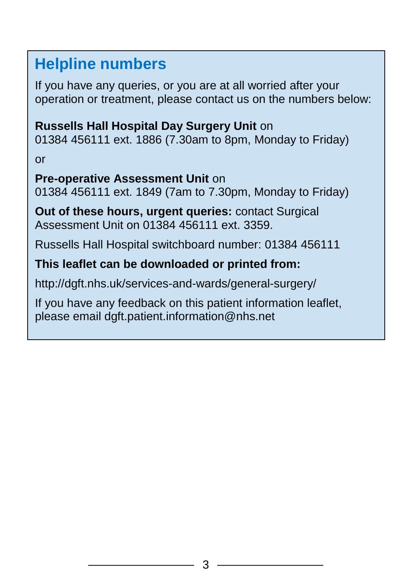## **Helpline numbers**

If you have any queries, or you are at all worried after your operation or treatment, please contact us on the numbers below:

#### **Russells Hall Hospital Day Surgery Unit** on

01384 456111 ext. 1886 (7.30am to 8pm, Monday to Friday)

or

#### **Pre-operative Assessment Unit** on

01384 456111 ext. 1849 (7am to 7.30pm, Monday to Friday)

**Out of these hours, urgent queries:** contact Surgical Assessment Unit on 01384 456111 ext. 3359.

Russells Hall Hospital switchboard number: 01384 456111

#### **This leaflet can be downloaded or printed from:**

http://dgft.nhs.uk/services-and-wards/general-surgery/

If you have any feedback on this patient information leaflet, please email dgft.patient.information@nhs.net